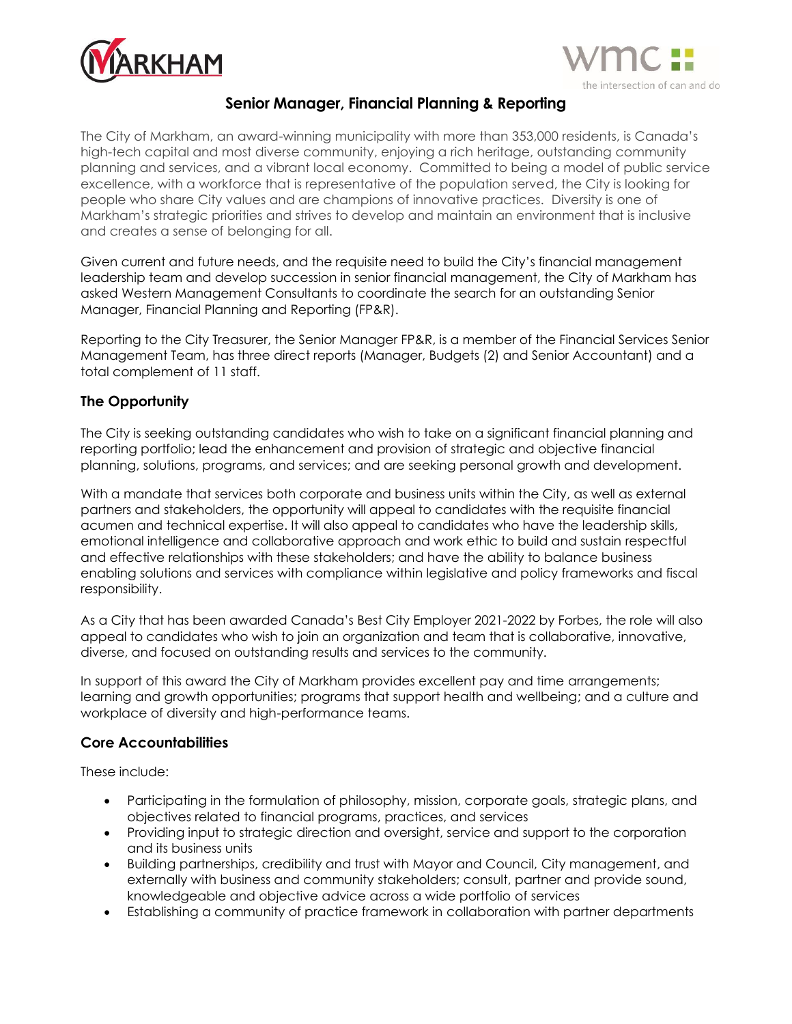



# **Senior Manager, Financial Planning & Reporting**

The City of Markham, an award-winning municipality with more than 353,000 residents, is Canada's high-tech capital and most diverse community, enjoying a rich heritage, outstanding community planning and services, and a vibrant local economy. Committed to being a model of public service excellence, with a workforce that is representative of the population served, the City is looking for people who share City values and are champions of innovative practices. Diversity is one of Markham's strategic priorities and strives to develop and maintain an environment that is inclusive and creates a sense of belonging for all.

Given current and future needs, and the requisite need to build the City's financial management leadership team and develop succession in senior financial management, the City of Markham has asked Western Management Consultants to coordinate the search for an outstanding Senior Manager, Financial Planning and Reporting (FP&R).

Reporting to the City Treasurer, the Senior Manager FP&R, is a member of the Financial Services Senior Management Team, has three direct reports (Manager, Budgets (2) and Senior Accountant) and a total complement of 11 staff.

### **The Opportunity**

The City is seeking outstanding candidates who wish to take on a significant financial planning and reporting portfolio; lead the enhancement and provision of strategic and objective financial planning, solutions, programs, and services; and are seeking personal growth and development.

With a mandate that services both corporate and business units within the City, as well as external partners and stakeholders, the opportunity will appeal to candidates with the requisite financial acumen and technical expertise. It will also appeal to candidates who have the leadership skills, emotional intelligence and collaborative approach and work ethic to build and sustain respectful and effective relationships with these stakeholders; and have the ability to balance business enabling solutions and services with compliance within legislative and policy frameworks and fiscal responsibility.

As a City that has been awarded Canada's Best City Employer 2021-2022 by Forbes, the role will also appeal to candidates who wish to join an organization and team that is collaborative, innovative, diverse, and focused on outstanding results and services to the community.

In support of this award the City of Markham provides excellent pay and time arrangements; learning and growth opportunities; programs that support health and wellbeing; and a culture and workplace of diversity and high-performance teams.

### **Core Accountabilities**

These include:

- Participating in the formulation of philosophy, mission, corporate goals, strategic plans, and objectives related to financial programs, practices, and services
- Providing input to strategic direction and oversight, service and support to the corporation and its business units
- Building partnerships, credibility and trust with Mayor and Council, City management, and externally with business and community stakeholders; consult, partner and provide sound, knowledgeable and objective advice across a wide portfolio of services
- Establishing a community of practice framework in collaboration with partner departments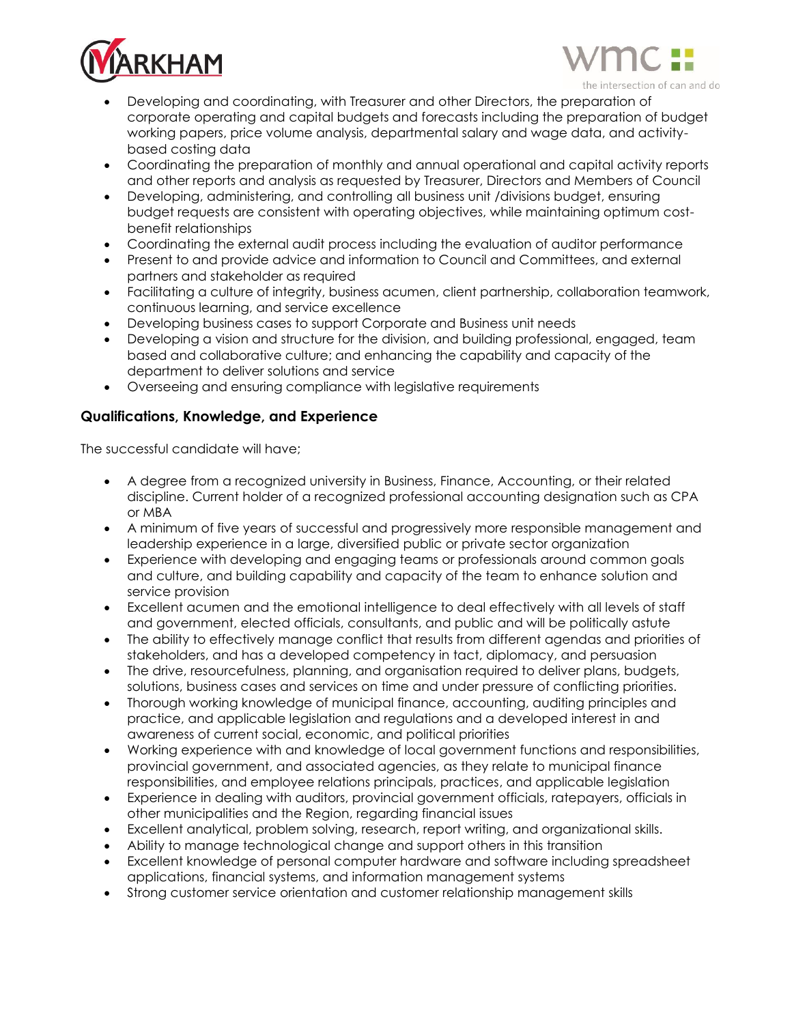



- Developing and coordinating, with Treasurer and other Directors, the preparation of corporate operating and capital budgets and forecasts including the preparation of budget working papers, price volume analysis, departmental salary and wage data, and activitybased costing data
- Coordinating the preparation of monthly and annual operational and capital activity reports and other reports and analysis as requested by Treasurer, Directors and Members of Council
- Developing, administering, and controlling all business unit /divisions budget, ensuring budget requests are consistent with operating objectives, while maintaining optimum costbenefit relationships
- Coordinating the external audit process including the evaluation of auditor performance
- Present to and provide advice and information to Council and Committees, and external partners and stakeholder as required
- Facilitating a culture of integrity, business acumen, client partnership, collaboration teamwork, continuous learning, and service excellence
- Developing business cases to support Corporate and Business unit needs
- Developing a vision and structure for the division, and building professional, engaged, team based and collaborative culture; and enhancing the capability and capacity of the department to deliver solutions and service
- Overseeing and ensuring compliance with legislative requirements

## **Qualifications, Knowledge, and Experience**

The successful candidate will have;

- A degree from a recognized university in Business, Finance, Accounting, or their related discipline. Current holder of a recognized professional accounting designation such as CPA or MBA
- A minimum of five years of successful and progressively more responsible management and leadership experience in a large, diversified public or private sector organization
- Experience with developing and engaging teams or professionals around common goals and culture, and building capability and capacity of the team to enhance solution and service provision
- Excellent acumen and the emotional intelligence to deal effectively with all levels of staff and government, elected officials, consultants, and public and will be politically astute
- The ability to effectively manage conflict that results from different agendas and priorities of stakeholders, and has a developed competency in tact, diplomacy, and persuasion
- The drive, resourcefulness, planning, and organisation required to deliver plans, budgets, solutions, business cases and services on time and under pressure of conflicting priorities.
- Thorough working knowledge of municipal finance, accounting, auditing principles and practice, and applicable legislation and regulations and a developed interest in and awareness of current social, economic, and political priorities
- Working experience with and knowledge of local government functions and responsibilities, provincial government, and associated agencies, as they relate to municipal finance responsibilities, and employee relations principals, practices, and applicable legislation
- Experience in dealing with auditors, provincial government officials, ratepayers, officials in other municipalities and the Region, regarding financial issues
- Excellent analytical, problem solving, research, report writing, and organizational skills.
- Ability to manage technological change and support others in this transition
- Excellent knowledge of personal computer hardware and software including spreadsheet applications, financial systems, and information management systems
- Strong customer service orientation and customer relationship management skills